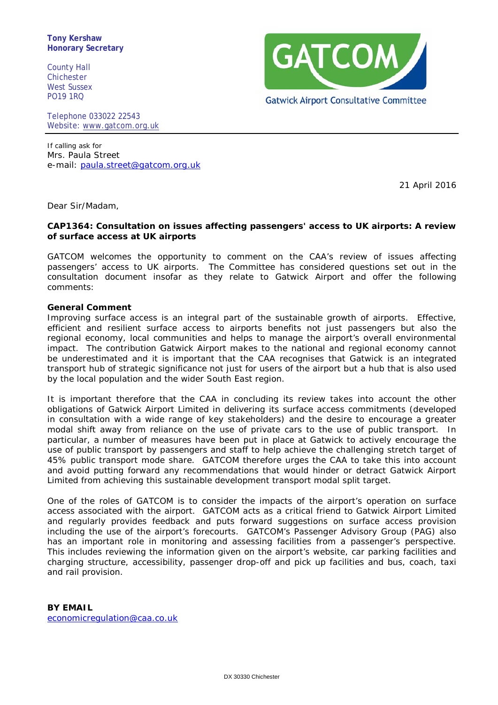**Tony Kershaw Honorary Secretary**

County Hall Chichester West Sussex PO19 1RQ

Telephone 033022 22543 Website: [www.gatcom.org.uk](http://www.gatcom.org.uk/)

If calling ask for Mrs. Paula Street e-mail: [paula.street@gatcom.org.uk](mailto:paula.street@gatcom.org.uk)

21 April 2016

Dear Sir/Madam,

## **CAP1364: Consultation on issues affecting passengers' access to UK airports: A review of surface access at UK airports**

GATCOM welcomes the opportunity to comment on the CAA's review of issues affecting passengers' access to UK airports. The Committee has considered questions set out in the consultation document insofar as they relate to Gatwick Airport and offer the following comments:

#### **General Comment**

Improving surface access is an integral part of the sustainable growth of airports. Effective, efficient and resilient surface access to airports benefits not just passengers but also the regional economy, local communities and helps to manage the airport's overall environmental impact. The contribution Gatwick Airport makes to the national and regional economy cannot be underestimated and it is important that the CAA recognises that Gatwick is an integrated transport hub of strategic significance not just for users of the airport but a hub that is also used by the local population and the wider South East region.

It is important therefore that the CAA in concluding its review takes into account the other obligations of Gatwick Airport Limited in delivering its surface access commitments (developed in consultation with a wide range of key stakeholders) and the desire to encourage a greater modal shift away from reliance on the use of private cars to the use of public transport. In particular, a number of measures have been put in place at Gatwick to actively encourage the use of public transport by passengers and staff to help achieve the challenging stretch target of 45% public transport mode share. GATCOM therefore urges the CAA to take this into account and avoid putting forward any recommendations that would hinder or detract Gatwick Airport Limited from achieving this sustainable development transport modal split target.

One of the roles of GATCOM is to consider the impacts of the airport's operation on surface access associated with the airport. GATCOM acts as a critical friend to Gatwick Airport Limited and regularly provides feedback and puts forward suggestions on surface access provision including the use of the airport's forecourts. GATCOM's Passenger Advisory Group (PAG) also has an important role in monitoring and assessing facilities from a passenger's perspective. This includes reviewing the information given on the airport's website, car parking facilities and charging structure, accessibility, passenger drop-off and pick up facilities and bus, coach, taxi and rail provision.

**BY EMAIL** [economicregulation@caa.co.uk](mailto:economicregulation@caa.co.uk)

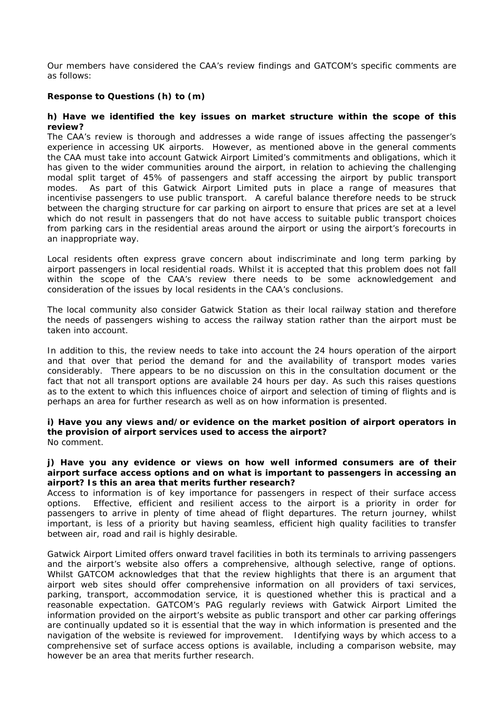Our members have considered the CAA's review findings and GATCOM's specific comments are as follows:

# **Response to Questions (h) to (m)**

### **h) Have we identified the key issues on market structure within the scope of this review?**

The CAA's review is thorough and addresses a wide range of issues affecting the passenger's experience in accessing UK airports. However, as mentioned above in the general comments the CAA must take into account Gatwick Airport Limited's commitments and obligations, which it has given to the wider communities around the airport, in relation to achieving the challenging modal split target of 45% of passengers and staff accessing the airport by public transport modes. As part of this Gatwick Airport Limited puts in place a range of measures that incentivise passengers to use public transport. A careful balance therefore needs to be struck between the charging structure for car parking on airport to ensure that prices are set at a level which do not result in passengers that do not have access to suitable public transport choices from parking cars in the residential areas around the airport or using the airport's forecourts in an inappropriate way.

Local residents often express grave concern about indiscriminate and long term parking by airport passengers in local residential roads. Whilst it is accepted that this problem does not fall within the scope of the CAA's review there needs to be some acknowledgement and consideration of the issues by local residents in the CAA's conclusions.

The local community also consider Gatwick Station as their local railway station and therefore the needs of passengers wishing to access the railway station rather than the airport must be taken into account.

In addition to this, the review needs to take into account the 24 hours operation of the airport and that over that period the demand for and the availability of transport modes varies considerably. There appears to be no discussion on this in the consultation document or the fact that not all transport options are available 24 hours per day. As such this raises questions as to the extent to which this influences choice of airport and selection of timing of flights and is perhaps an area for further research as well as on how information is presented.

#### **i) Have you any views and/or evidence on the market position of airport operators in the provision of airport services used to access the airport?**  No comment.

## **j) Have you any evidence or views on how well informed consumers are of their airport surface access options and on what is important to passengers in accessing an airport? Is this an area that merits further research?**

Access to information is of key importance for passengers in respect of their surface access options. Effective, efficient and resilient access to the airport is a priority in order for passengers to arrive in plenty of time ahead of flight departures. The return journey, whilst important, is less of a priority but having seamless, efficient high quality facilities to transfer between air, road and rail is highly desirable.

Gatwick Airport Limited offers onward travel facilities in both its terminals to arriving passengers and the airport's website also offers a comprehensive, although selective, range of options. Whilst GATCOM acknowledges that that the review highlights that there is an argument that airport web sites should offer comprehensive information on all providers of taxi services, parking, transport, accommodation service, it is questioned whether this is practical and a reasonable expectation. GATCOM's PAG regularly reviews with Gatwick Airport Limited the information provided on the airport's website as public transport and other car parking offerings are continually updated so it is essential that the way in which information is presented and the navigation of the website is reviewed for improvement. Identifying ways by which access to a comprehensive set of surface access options is available, including a comparison website, may however be an area that merits further research.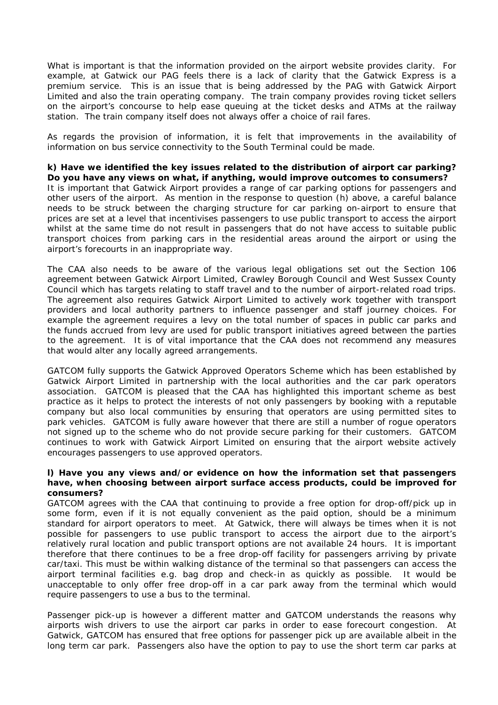What is important is that the information provided on the airport website provides clarity. For example, at Gatwick our PAG feels there is a lack of clarity that the Gatwick Express is a premium service. This is an issue that is being addressed by the PAG with Gatwick Airport Limited and also the train operating company. The train company provides roving ticket sellers on the airport's concourse to help ease queuing at the ticket desks and ATMs at the railway station. The train company itself does not always offer a choice of rail fares.

As regards the provision of information, it is felt that improvements in the availability of information on bus service connectivity to the South Terminal could be made.

**k) Have we identified the key issues related to the distribution of airport car parking? Do you have any views on what, if anything, would improve outcomes to consumers?** It is important that Gatwick Airport provides a range of car parking options for passengers and other users of the airport. As mention in the response to question (h) above, a careful balance needs to be struck between the charging structure for car parking on-airport to ensure that prices are set at a level that incentivises passengers to use public transport to access the airport whilst at the same time do not result in passengers that do not have access to suitable public transport choices from parking cars in the residential areas around the airport or using the airport's forecourts in an inappropriate way.

The CAA also needs to be aware of the various legal obligations set out the Section 106 agreement between Gatwick Airport Limited, Crawley Borough Council and West Sussex County Council which has targets relating to staff travel and to the number of airport-related road trips. The agreement also requires Gatwick Airport Limited to actively work together with transport providers and local authority partners to influence passenger and staff journey choices. For example the agreement requires a levy on the total number of spaces in public car parks and the funds accrued from levy are used for public transport initiatives agreed between the parties to the agreement. It is of vital importance that the CAA does not recommend any measures that would alter any locally agreed arrangements.

GATCOM fully supports the Gatwick Approved Operators Scheme which has been established by Gatwick Airport Limited in partnership with the local authorities and the car park operators association. GATCOM is pleased that the CAA has highlighted this important scheme as best practice as it helps to protect the interests of not only passengers by booking with a reputable company but also local communities by ensuring that operators are using permitted sites to park vehicles. GATCOM is fully aware however that there are still a number of rogue operators not signed up to the scheme who do not provide secure parking for their customers. GATCOM continues to work with Gatwick Airport Limited on ensuring that the airport website actively encourages passengers to use approved operators.

### **l) Have you any views and/or evidence on how the information set that passengers have, when choosing between airport surface access products, could be improved for consumers?**

GATCOM agrees with the CAA that continuing to provide a free option for drop-off/pick up in some form, even if it is not equally convenient as the paid option, should be a minimum standard for airport operators to meet. At Gatwick, there will always be times when it is not possible for passengers to use public transport to access the airport due to the airport's relatively rural location and public transport options are not available 24 hours. It is important therefore that there continues to be a free drop-off facility for passengers arriving by private car/taxi. This must be within walking distance of the terminal so that passengers can access the airport terminal facilities e.g. bag drop and check-in as quickly as possible. It would be unacceptable to only offer free drop-off in a car park away from the terminal which would require passengers to use a bus to the terminal.

Passenger pick-up is however a different matter and GATCOM understands the reasons why airports wish drivers to use the airport car parks in order to ease forecourt congestion. At Gatwick, GATCOM has ensured that free options for passenger pick up are available albeit in the long term car park. Passengers also have the option to pay to use the short term car parks at